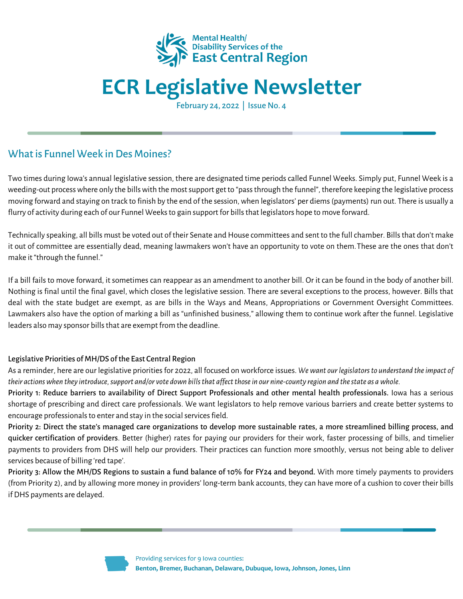

## **ECR Legislative Newsletter**

February 24, 2022 | Issue No. 4

## What is Funnel Week in Des Moines?

Two times during Iowa's annual legislative session, there are designated time periodscalled Funnel Weeks. Simply put, Funnel Week is a weeding-out processwhere only the billswith the mostsupport get to "passthrough the funnel", therefore keeping the legislative process moving forward and staying on track to finish by the end of the session, when legislators' per diems(payments) run out. There is usually a flurry of activity during each of our Funnel Weeks to gain support for bills that legislators hope to move forward.

Technically speaking, all bills must be voted out of their Senate and House committees and sent to the full chamber. Bills that don't make it out of committee are essentially dead, meaning lawmakers won't have an opportunity to vote on them.These are the ones that don't make it "through the funnel."

If a bill fails to move forward, it sometimes can reappear as an amendment to another bill. Or it can be found in the body of another bill. Nothing is final until the final gavel, which closes the legislative session. There are several exceptions to the process, however. Bills that deal with the state budget are exempt, as are bills in the Ways and Means, Appropriations or Government Oversight Committees. Lawmakers also have the option of marking a bill as "unfinished business," allowing them to continue work after the funnel. Legislative leaders also may sponsor bills that are exempt from the deadline.

#### Legislative Priorities of MH/DS of the East Central Region

As a reminder, here are our legislative prioritiesfor 2022, all focused on workforce issues. *Wewant ourlegislatorsto understand theimpact of* their actions when they introduce, support and/or vote down bills that affect those in our nine-county region and the state as a whole.

Priority 1: Reduce barriers to availability of Direct Support Professionals and other mental health professionals. Iowa has a serious shortage of prescribing and direct care professionals. We want legislators to help remove various barriers and create better systems to encourage professionals to enter and stay in the social services field.

Priority 2: Direct the state's managed care organizations to develop more sustainable rates, a more streamlined billing process, and quicker certification of providers. Better (higher) rates for paying our providers for their work, faster processing of bills, and timelier payments to providers from DHS will help our providers. Their practices can function more smoothly, versus not being able to deliver services because of billing 'red tape'.

Priority 3: Allow the MH/DS Regions to sustain a fund balance of 10% for FY24 and beyond. With more timely payments to providers (from Priority 2), and by allowing more money in providers' long-term bank accounts, they can have more of a cushion to cover their bills if DHS payments are delayed.